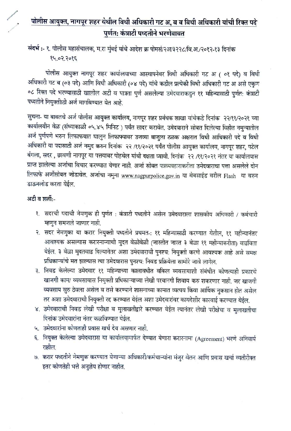# पोलीस आयुक्त, नागपूर शहर येथील विधी अधिकारी गट अ, ब व विधी अधिकारी यांची रिक्त पदे पूर्णत: कंत्राटी पध्दतीने भरणेबाबत

# संदर्भ :- १. पोलीस महासंचालक, म.रा मुंबई यांचे आदेश क्र पोमसं/२अ/३२२८/वि.अ./२०१२-१३ दिनांक 3905.50.18

पोलीस आयुक्त नागपूर शहर कार्यालयाच्या आस्थापनेवर विधी अधिकारी गट अ ( ०१ पदे) व विधी अधिकारी गट ब (०३ पदे) आणि विधी अधिकारी (०४ पदे) यांचे कडील प्रत्येकी विधी अधिकारी गट अ असे एकुण ०८ रिक्त पदे भरण्यासाठी खालील अटी व पात्रता पुर्ण असलेल्या उमेदवाराकडुन ११ महिन्यासाठी पुर्णत: कंत्राटी पध्दतीने नियुक्तीाठी अर्ज मागविण्यात येत आहे.

सुचना- या बाबतचे अर्ज पोलीस आयुक्त कार्यालय, नागपूर शहर प्रबंधक शाखा यांचेकडे दिनांक २२/११/२०२१ च्या कार्यालयीन वेळ (संध्याकाळी ०५.४५ मिनिट ) पर्यंत सादर करावेत. उमेदवाराने सोबत दिलेल्या विहीत नमुन्यातील अर्ज पुर्णपणे भरुन लिफाफयात घालुन लिफाफ्यावर उजव्या बाजुला ठळक अक्षरात विधी आधिकारी पदे व विधी अधिकारी या पदासाठी अर्ज नमुद करुन दिनांक २२ /११/२०२१ पर्यंत पोलीस आयुक्त कार्यालय, नागपूर शहर, पटेल बंगला, सदर , छावणी नागपूर या पत्तयावर पोहचेल यांची दक्षता घ्यावी. दिनांक २२ /११/२०२१ नंतर या कार्यालयास प्राप्त झालेल्या अर्जाचा विचार करण्यात येणार नाही. अर्जा सोबत पत्रव्यवहाराकरीता उमेदवाराचा पत्ता असलेले दोन लिफाफे अर्जीसोबत जोडावेत. अर्जाचा नमुना www.nagpurpolice.gov.in या वेबसाईड वरील Flash या वरुन डाऊनलोड करता येईल.

#### अटी व शर्ती:-

- १. सदरची पदाची नेमणुक ही पुर्णत : कंत्राटी पध्दतीने असेल उमेदवाराला शासकीय अधिकारी / कर्मचारी म्हणून समजले जाणार नाही.
- २. सदर नेमणुका या करार नियुक्ती पध्दतीने प्रथमत-: ११ महिन्यासाठी करण्यात येतील, ११ महीन्यानंतर आवश्यक असल्यास करारनाम्याची मुदत वेळोवेळी (जास्तीत जास्त ३ वेळा ११ महीन्याकरीता) वाढविता येईल. ३ वेळा मुदतवाढ दिल्यानेतर अशा उमेदवाराची पुनश्च: नियुक्ती करणे आवश्यक आहे असे समक्ष प्रधिकाऱ्यांचे मत झाल्यास त्या उमेदवारास पुनश्च: निवड प्रक्रियेला सामोरे जावे लागेल.
- ३. निवड केलेल्या उमेदवार ११ महिन्याच्या कालावधीत वकिल व्यवसायाशी संबंधीत कोणत्याही प्रकारचे खाजगी काम/ व्यवसायास नियुक्ती प्रधिकाऱ्याच्या लेखी परवानगी शिवाय करु शकरणार नाही. जर खाजगी व्यवसाय सुरु ठेवला असेल व तसे करण्याने शासनाच्या कामात व्यत्यय किंवा आर्थिक नुकसान होत असेल तर अशा उमेदवाराची नियुक्ती रद्द करण्यात येईल अशा उमेदवारांवर कायदेशीर कारवाई करण्यात येईल.
- ४. उमेदवाराची निवड लेखी परीक्षा व मुलाखतीद्वारे करण्यात येईल त्यानंतर लेखी परीक्षेचा व मुलाखतीचा दिनांक उमेदवारांना नंतर कळविण्यात येईल.
- ५. उमेदवारांना कोणताही प्रवास खर्च देय असणार नाही.
- ६. नियुक्त केलेल्या उमेदवारास या कार्यालयामार्फत देण्यात येणारा करारनामा (Agreement) भरणे अनिवार्य राहील.
- ७. करार पध्दतीने नेमणुक करण्यात येणाऱ्या अधिकारी/कर्मचाऱ्यांना मंजुर वेतन आणि प्रवास खर्चा व्यतीरीक्त इतर कोणतेही भत्ते अनुज्ञेय होणार नाहीत.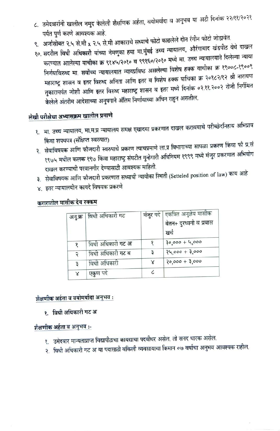- ८. उमेदवारांनी खालील नमुद केलेली शैक्षणिक अर्हता, वयोमर्यादा व अनुभव या अटी दिनांक २२/११/२०२१ पर्यंत पूर्ण करणे आवश्यक आहे.
- ९. अर्जासोबत २.५ से.मी x २.५ से.मी आकाराचे सध्याचे फोटो काढलेले दोन रंगीन फोटो जोडावेत.
- १०. सदरील विधी अधिकारी यांच्या नेमणुका हया मा.मुंबई उच्च न्यायालय, औरंगाबाद खंडपीठ येथे दाखल
- करण्यात आलेल्या याचीका क्र ९१४५/२०१० व ९९१६०/२०१० मध्ये मा. उच्च न्यायालयाने दिलेल्या न्याया निर्णयाविरुध्द मा. सर्वोच्च न्यायालयात न्यायप्रविष्ठ असलेल्या विशेष हक्क याचीका क्र १९००८-१९००९ महाराष्ट्र शासन व इतर विरुध्द अनिता आणि इतर व विशेष हक्क याचिका क्र २०१८२/१२ श्री नारायण तुकारामपंत जोशी आणि इतर विरुध्द महाराष्ट्र शासन व इतर मध्ये दिनांक ०२.११.२००२ रोजी निर्गमित केलेले अंतरीम आदेशाच्या अनुषगाने अंतिम निर्णायाच्या अधिन राहुन असतील.

## लेखी परीक्षेचा अभ्यासक्रम खालील प्रमाणे

- १. मा. उच्च न्यायालय, मा.म.प्र न्यायालय समक्ष एखादया प्रकरणात दाखल करावयाचे परीच्छेदनिहाय अभिप्राय किंवा शपथपत्र (संक्षिप्त स्वरुपात)
- २. सेवाविषयक आणि फौजदारी स्वरुपाचे प्रकरण त्याचप्रमाणे ला.प्र विभागाच्या सापळा प्रकरण किंवा फौ प्र.सं १९७५ मधील कलक १९७ किंवा महाराष्ट्र संघटीत गुन्हेगारी अधिनियम १९९९ मध्ये मंजुर प्रकरणात अभियोग दाखल करण्याची परवानगीर देण्यासाठी आवश्यक माहिती.
- ३. सेवाविषयक आणि फौजदारी प्रकरणात सध्याची न्यायीका स्थिती (Setteled position of law) काय आहे
- ४. इतर न्यायालयीन कायदे विषयक प्रकरणे

|   | अनु.क्र   विधी अधिकारी गट |   | मंजुर पदे   एकत्रित अनुज्ञेय मासीक<br>वेतन+ दुरध्वनी व प्रवास<br>खच |
|---|---------------------------|---|---------------------------------------------------------------------|
|   | विधी अधिकारी गट अ         |   | $30,000 + 4,000$                                                    |
| २ | विधी अधिकारी गट ब         | Ę | $24,000 + 3,000$                                                    |
| ₹ | विधी अधिकारी              | Χ | $30,000 + 3,000$                                                    |
| Χ | एकुण पदं                  |   |                                                                     |

#### करारातील मासीक देय रक्कम

#### जैक्षणीक अर्हता व वयोमर्यादा अनुभव :

१. विधी अधिकारी गट अ

#### शैक्षणीक अर्हता व अनुभव :-

- १. उमेदवार मान्यताप्राप्त विद्यापीठाचा कायद्याचा पदवीधर असेल. तो सनद धारक असेल.
- २. विधी अधिकारी गट अ या पदासाठी वकिली व्यवसायाचा किमान ०७ वर्षाचा अनुभव आवश्यक राहील.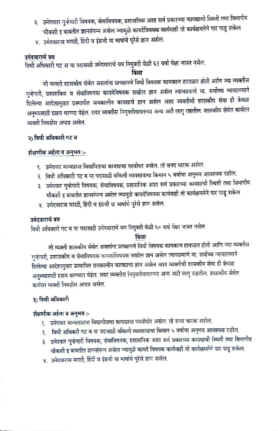- ३. उमेदवारा गुन्हेगारी विषयक, सेवाविषयक, प्रशासनिक अशा सर्व प्रकारच्या कायद्याची सिथ्ती तथा विभागीय चौकशी इ बाबतीत ज्ञानसंपन्न असेल ज्यामुळे कायदेविषयक कार्यवाही तो कार्यक्षमतेने पार पाडु शकेल
- ४. उमेदवारास मराठी, हिंदी व इंग्रजी या भाषांचे पुरेसे ज्ञान असेल.

#### उमेदवाराचे वय

विधी अधिकारी गट अ या पदासाठी उमेदवाराचे वय नियुक्ती वेळी ६२ वर्षा पेक्षा जास्त नसेल.

किंवा

जी व्यक्ती शासकीय सेवेत असतांना प्रत्यक्षपणे विधी विषयक कामकाज हाताळत होती आणि ज्या व्यक्तीस गुन्हेगारी, प्रशासकिय व सेवाविषयक कायदेविषयक सखोल ज्ञान असेल त्याचप्रमाणे मा. सर्वोच्च न्यायालयाने दिलेल्या आदेशानुसार प्रस्थापीत समकालीन कायद्याचे ज्ञान असेल अशा व्यक्तीची शासकीय सेवा ही केवळ अनुभवसाठी ग्राहय धरण्या येईल. सदर व्यक्तीस नियुक्तीबाबतच्या अन्य अटी लागु राहतील. शासकीय सेवेत कार्यरत व्यक्ती निवडीस अपात्र असेल.

#### २) विधी अधिकारी गट ब

#### शैक्षणीक अर्हता व अनुभव :-

- १. उमेदवार मान्यप्राप्त विद्यापिठाचा कायद्याचा पदवीधर असेल. तो सनद धारक असेल.
- २. विधी अधिकारी गट ब या पदासाठी वकिली व्यवसायाचा किमान ५ वर्षाचा अनुभव आवश्यक राहील.
- ३. उमेदवार गुन्हेगारी विषयक, सेवाविषयक, प्रशासनिक अशा सर्व प्रकारच्या कायद्याची स्थिती तथा विभागीय चौकशी इ बाबतीत ज्ञानसंपन्न असेल ज्यामुळे कायदेविषयक कार्यवाही तो कार्यक्षमतेने पार पाडु शकेल
- ४. उमेदवारास मराठी, हिंदी व इंग्रजी या भाषांचे पुरेसे ज्ञान असेल.

#### उमेदवाराचे वय

विधी अधिकारी गट ब या पदासाठी उमेदवाराचे वय नियुक्ती वेळी ६० वर्षा पेक्षा जास्त नसेल

#### किंवा

जी व्यक्ती शासकीय सेवेत असतांना प्रत्यक्षपणे विधी विषयक कामकाज हाताळत होती आणि ज्या व्यक्तीस गुन्हेगारी, प्रशासकीय व सेवाविषयक कायद्यांविषयक सखोल ज्ञान असेल त्याचप्रमाणे मा. सर्वोच्च न्यायालयाने दिलेल्या आदेशानुसार प्रस्थापित समकालीन कायद्याचा ज्ञान असेल अशा व्यक्तीची शासकीय सेवा ही केवळ अनुभवासाठी ग्राहय धरण्यात येईल. सदर व्यक्तीस नियुक्तीबाबतच्या अन्य अटी लागु राहतील. शासकीय सेवेत कार्यरत व्यक्ती निवडीस अपात्र असेल.

## ३) विधी अधिकारी

#### शैक्षणीक अर्हता व अनुभव :-

- १. उमेदवार मान्यताप्राप्त विद्यापीठाचा कायद्याचा पदवीधीर असेल. तो सनद धारक असेल.
- २. विधी अधिकरी गट ब या पदासाठी वकिली व्यवसायाचा किमान ५ वर्षाचा अनुभव आवश्यक राहील.
- ३. उमेदवार गुन्हेगारी विषयक, सेवाविषयक, प्रशासनिक अशा सर्व प्रकारच्या कायद्याची स्थिती तथा विभागीय चौकशी इ बाबतीत ज्ञानसंपन्न असेल ज्यामुळे कायदे विषयक कार्यवाही तो कार्यक्षमतेने पार पाडु शकेल.
- ४. उमेदवारास मराठी, हिंदी व इंग्रजी या भाषांचे पुरेसे ज्ञान असेल.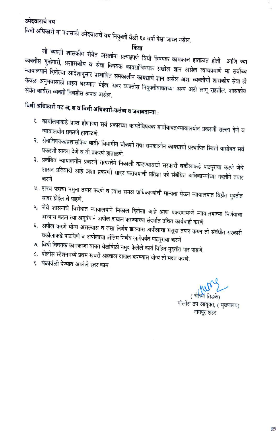#### उमेदवाराचे वय

विधी अधिकारी या पदासाठी उमेदवाराचे वय नियुक्ती वेळी ६० वर्षा पेक्षा जास्त नसेल.

किंवा

जी व्यक्ती शासकीय सेवेत असतांना प्रत्यक्षपणे विधी विषयक कामकाज हाताळत होती आणि ज्या व्यक्तीस गुन्हेगारी, प्रशासकीय व सेवा विषयक कायद्यांविषयक सखोल ज्ञान असेल त्याचप्रमाणे मा सर्वोच्च न्यायालयाने दिलेल्या आदेशानुसार प्रस्थापित समकालीन कायद्याचे ज्ञान असेल अशा व्यक्तीची शासकीय सेवा ही केवळ अनुभवासाठी ग्राहय धरण्यात येईल. सदर व्यक्तीस नियुक्तीबाबतच्या अन्य अटी लागू राहतील. शासकीय सेवेत कार्यरत व्यक्ती निवडीस अपात्र असेल.

# विधी अधिकारी गट अ, ब व विधी अधिकारी-कर्तव्य व जबाबदाऱ्या :

- १. कार्यालयाकडे प्राप्त होणाऱ्या सर्व प्रकारच्या कायदेविषयक बाबीबाबत/न्यायालयीन प्रकरणी सल्ला देणे व न्यायालयीन प्रकरणे हाताळणे.
- २. सेवाविषयक/प्रशासकिय बाबी/ विभागीय चौकशी तथा समकालीन कायद्याची प्रस्थापित स्थिती यासोबत सर्व प्रकरणी सल्ला देणे व ती प्रकरणे हाताळणे.
- ३. प्रलंबित न्यायालयीन प्रकरणे तत्परतेने निकाली काढण्यासाठी सरकारी वकीलाकडे पाठपुरावा करणे जेथे शासन प्रतिवादी आहे अशा प्रकरणी सादर करावयाची प्रतिज्ञा पत्रे संबंधित अधिकाऱ्यांच्या मदतीने तयार
- ४. शपथ पत्राचा नमुना तयार करणे व त्यास समक्ष प्राधिकाऱ्यांची मान्यता घेऊन न्यायालयात विहीत मुदतीत सादर होईल वे पाहणे.
- ५. जेथे शासनाचे विरोधात न्यायालयाने निकाल दिलेला आहे अशा प्रकरणामध्ये न्यायालयाच्या निर्णयाचा अभ्यास करुन त्या अनुषंगाने अपील दाखल करण्याच्या संदर्भात उचित कार्यवाही करणे.
- ६. अपील करणे योग्य असल्यास व तसा निर्णय झाल्यास अपीलाचा मसुदा तयार करुन तो संबंधीत सरकारी वकीलाकडे पाठविणे व अपीलाचा अंतिम निर्णय लागेपर्यंत पाठपुरावा करणे
- ७. विधी विषयक कामकाजा बाबत वेळोवेळी नमुद केलेले कार्य विहित मुदतीत पार पाडणे.
- ८. पोलीस स्टेशनमध्ये प्रथम खबरी अहवाल दाखल करण्यास योग्य ती मदत करणे.
- ९. वेळोवेळी देण्यात आलेले इतर काम.

पोलीस उप आयुक्त, ( मुख्यालय) नागपूर शहर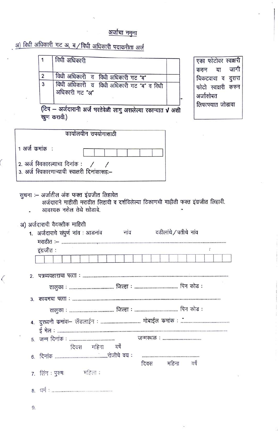#### अर्जाचा नमुना

अ) विधी अधिकारी गट अ, ब / विधी अधिकारी पदाकरीता अर्ज

|   | विधी अधिकारी   |                                           |
|---|----------------|-------------------------------------------|
|   |                | विधी अधिकारी व विधी अधिकारी गट ब          |
| 3 | अधिकारी गट "अ" | विधी अधिकारी व विधी अधिकारी गट "ब" व विधी |

एका फोटोवर स्वाक्षरी जागी करुन या चिकटवावा व दुसरा फोटो स्वाक्षरी करुन अर्जासोबत लिफाफ्यात जोडावा

(टिप – अर्जदारानी अर्ज भरतेवेळी लागु असलेल्या रकान्यात √ अशी खुण करावी.)

| कार्यालयीन उपयोगासाठी                                                           |  |  |  |
|---------------------------------------------------------------------------------|--|--|--|
| $\vert$ 1 अर्ज कमांक $\vert$ :                                                  |  |  |  |
| 2. अर्ज स्विकारल्याचा दिनांक :<br>3. अर्ज स्विकारणाऱ्याची स्वाक्षरी दिनांकासहः– |  |  |  |

सुचना :– अर्जातील अंक फक्त इंग्रजीत लिहावेत

अर्जदाराने माहीती मराठीत लिहावी व दर्शविलेल्या ठिकाणची माहीती फक्त इंग्रजीत लिहावी. आवश्यक नसेल तेथे खोडावे.

अ) अर्जदाराची वैयक्तीक माहिती

|                | 1. अर्जदाराचे संपुर्ण नांव : आडनांव | नाव | वडीलांचे / पतीचे नांव |  |  |
|----------------|-------------------------------------|-----|-----------------------|--|--|
|                | इंग्रजीत:                           |     |                       |  |  |
|                |                                     |     |                       |  |  |
| $\mathfrak{p}$ | तालक                                |     |                       |  |  |

दिवस महिना वर्षे

> दिवस महिना

वर्षे

7. लिंग: पुरुष: महिला:

9.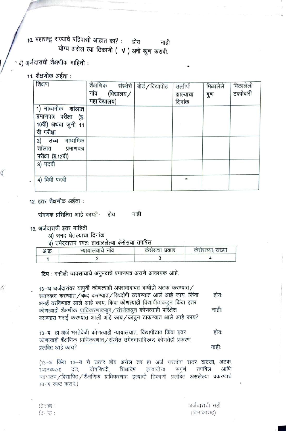10. महाराष्ट्र राज्याचे रहिवासी आहात का? : होय नाही योग्य असेल त्या ठिकाणी (  $\sqrt{ }$  ) अषी खुण करावी.

#### ब) अर्जदाराची शैक्षणीक माहिती :

#### 11. शैक्षणीक अर्हता :

| शिक्षण                                                                           | शैक्षणिक संस्थेचे बोर्ड/विद्यापीठ<br>नांव (विद्यालय $\angle$<br>महाविद्यालय) | उत्तीर्ण<br>झाल्याचा<br>दिनांक | मिळालेले<br>गुण | मिळालेली<br>टक्केवारी |
|----------------------------------------------------------------------------------|------------------------------------------------------------------------------|--------------------------------|-----------------|-----------------------|
| 1) माध्यमीक शांलात<br>प्रमाणपत्र परीक्षा (इ.<br>10वी) अथवा जुनी 11<br>वी परीक्षा |                                                                              |                                |                 |                       |
| 2) उच्च<br>माध्यमिक<br>शालात प्रमाणपत्र<br>परीक्षा (इ.12वी)                      |                                                                              |                                |                 |                       |
| 3) पदवी                                                                          |                                                                              |                                |                 |                       |
| 4) विधी पदवी                                                                     |                                                                              |                                |                 |                       |

12. इतर शैक्षणीक अर्हता :

€

Ü

संगणक प्रशिक्षित आहे काय? होय नाही

13. अर्जदाराची इतर माहिती

अ) सनद घेतल्याचा दिनांक

ब) उमेदवाराने स्वतः हाताळलेल्या केसेसचा तपषिल

| अ.क्र. | न्यायालयाचे नाव | कसंसचा प्रकार | कसंसच्या, संख्या |  |  |
|--------|-----------------|---------------|------------------|--|--|
|        |                 |               |                  |  |  |

टिप: वकीली व्यवसायाचे अनुभवाचे प्रमाणपत्र असणे आवश्यक आहे.

13-34 अर्जदारांवर यापूर्वी कोणत्याही अपराधाबाबत कधीही अटक करण्यात/ स्थानबध्द करण्यात/बध्द करण्यात/सिध्दोषी ठरवण्यात आले आहे काय, किंवा होयः अनई ठरविण्यात आले आहे काय, किंवा कोणत्याही विद्यापीठाकडून किंवा इतर कोणत्याही शैक्षणीक प्राधिकरणाकडून / संस्थेकडून कोणत्याही परिक्षेस नाही: बसण्यास मनाई करण्यात आली आहे काय/काढून टाकण्यात आले आहे काय?

13-ब हा अर्ज भरतेवेळी कोणत्याही न्यायालयात, विद्यापीठात किंवा इतर होय: कोणत्याही शैक्षणिक प्राधिकरणात/संस्थेत उमेदवाराविरुध्द कोणतेही प्रकरण प्रलंबित आहे काय? नाहीः

(13-अ किंवा 13-य चे उत्तर होय असेल तर हा अर्ज भरतांना सदर खटला, अटक, दोषसिध्दी, दड. शिक्षादेष इत्यादीचा संपर्ण तपषिल आणि रथानवध्दता न्यायालय/विद्यापिठ/शैक्षणिक प्राधिकरणात इत्यादी ठिकाणी प्रलंबित असलेल्या प्रकरणाचे स्वरप स्पष्ट करावे.)

िलाण: दिनके :